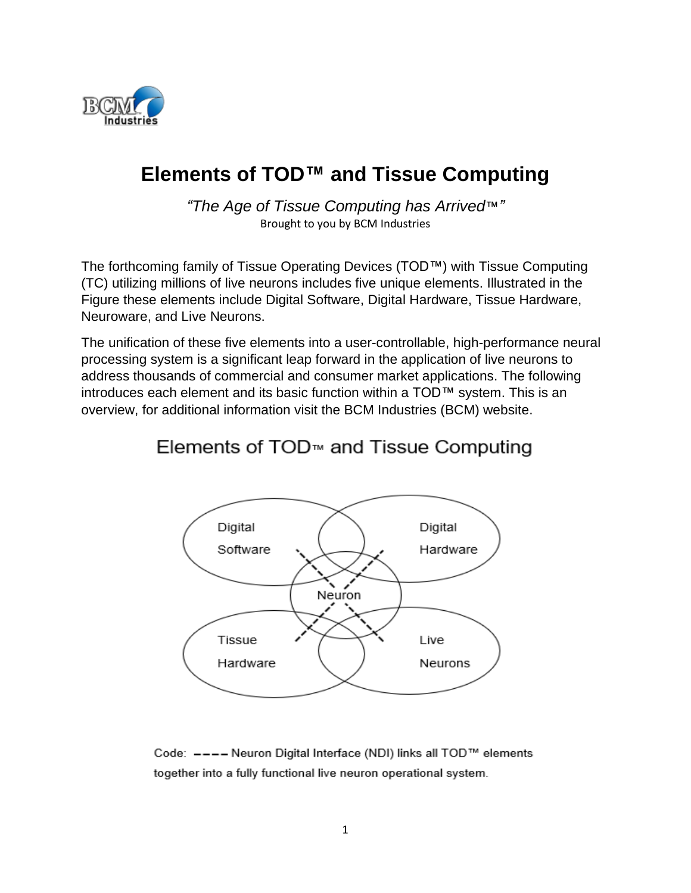

## **Elements of TOD™ and Tissue Computing**

*"The Age of Tissue Computing has Arrived*™*"* Brought to you by BCM Industries

The forthcoming family of Tissue Operating Devices (TOD™) with Tissue Computing (TC) utilizing millions of live neurons includes five unique elements. Illustrated in the Figure these elements include Digital Software, Digital Hardware, Tissue Hardware, Neuroware, and Live Neurons.

The unification of these five elements into a user-controllable, high-performance neural processing system is a significant leap forward in the application of live neurons to address thousands of commercial and consumer market applications. The following introduces each element and its basic function within a TOD™ system. This is an overview, for additional information visit the BCM Industries (BCM) website.

## Elements of TOD<sup>™</sup> and Tissue Computing



Code: ---- Neuron Digital Interface (NDI) links all TOD™ elements together into a fully functional live neuron operational system.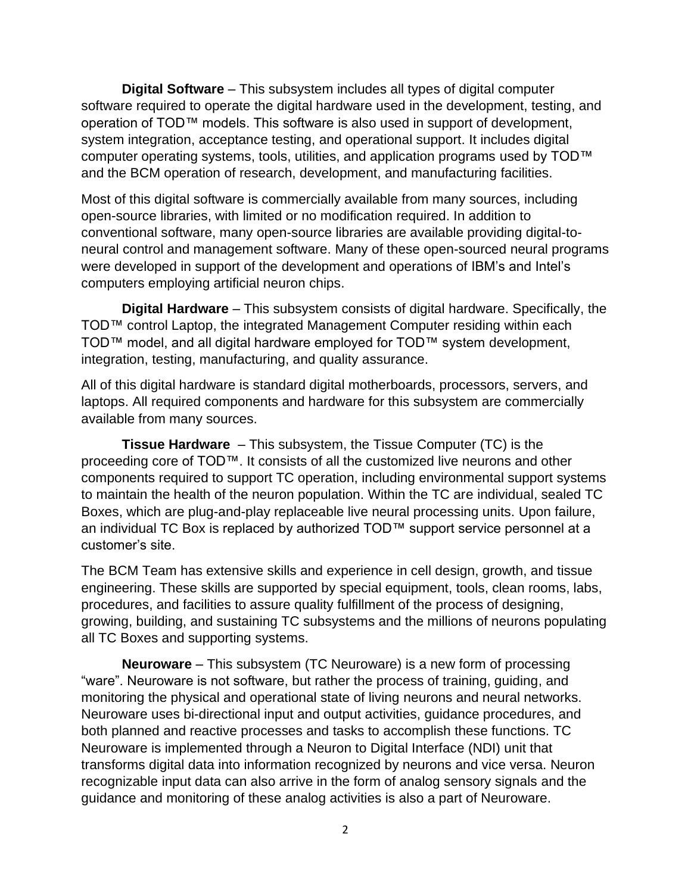**Digital Software** – This subsystem includes all types of digital computer software required to operate the digital hardware used in the development, testing, and operation of TOD™ models. This software is also used in support of development, system integration, acceptance testing, and operational support. It includes digital computer operating systems, tools, utilities, and application programs used by TOD™ and the BCM operation of research, development, and manufacturing facilities.

Most of this digital software is commercially available from many sources, including open-source libraries, with limited or no modification required. In addition to conventional software, many open-source libraries are available providing digital-toneural control and management software. Many of these open-sourced neural programs were developed in support of the development and operations of IBM's and Intel's computers employing artificial neuron chips.

**Digital Hardware** – This subsystem consists of digital hardware. Specifically, the TOD™ control Laptop, the integrated Management Computer residing within each TOD™ model, and all digital hardware employed for TOD™ system development, integration, testing, manufacturing, and quality assurance.

All of this digital hardware is standard digital motherboards, processors, servers, and laptops. All required components and hardware for this subsystem are commercially available from many sources.

**Tissue Hardware** – This subsystem, the Tissue Computer (TC) is the proceeding core of TOD™. It consists of all the customized live neurons and other components required to support TC operation, including environmental support systems to maintain the health of the neuron population. Within the TC are individual, sealed TC Boxes, which are plug-and-play replaceable live neural processing units. Upon failure, an individual TC Box is replaced by authorized TOD™ support service personnel at a customer's site.

The BCM Team has extensive skills and experience in cell design, growth, and tissue engineering. These skills are supported by special equipment, tools, clean rooms, labs, procedures, and facilities to assure quality fulfillment of the process of designing, growing, building, and sustaining TC subsystems and the millions of neurons populating all TC Boxes and supporting systems.

**Neuroware** – This subsystem (TC Neuroware) is a new form of processing "ware". Neuroware is not software, but rather the process of training, guiding, and monitoring the physical and operational state of living neurons and neural networks. Neuroware uses bi-directional input and output activities, guidance procedures, and both planned and reactive processes and tasks to accomplish these functions. TC Neuroware is implemented through a Neuron to Digital Interface (NDI) unit that transforms digital data into information recognized by neurons and vice versa. Neuron recognizable input data can also arrive in the form of analog sensory signals and the guidance and monitoring of these analog activities is also a part of Neuroware.